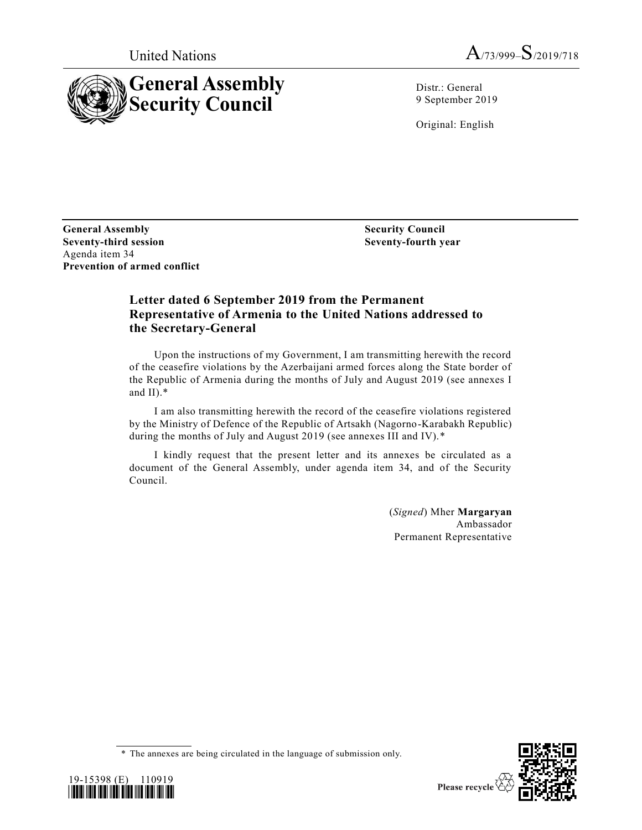



Distr.: General 9 September 2019

Original: English

**General Assembly Seventy-third session** Agenda item 34 **Prevention of armed conflict**

**Security Council Seventy-fourth year**

### **Letter dated 6 September 2019 from the Permanent Representative of Armenia to the United Nations addressed to the Secretary-General**

Upon the instructions of my Government, I am transmitting herewith the record of the ceasefire violations by the Azerbaijani armed forces along the State border of the Republic of Armenia during the months of July and August 2019 (see annexes I and II).\*

I am also transmitting herewith the record of the ceasefire violations registered by the Ministry of Defence of the Republic of Artsakh (Nagorno-Karabakh Republic) during the months of July and August 2019 (see annexes III and IV).\*

I kindly request that the present letter and its annexes be circulated as a document of the General Assembly, under agenda item 34, and of the Security Council.

> (*Signed*) Mher **Margaryan** Ambassador Permanent Representative

<sup>\*</sup> The annexes are being circulated in the language of submission only.



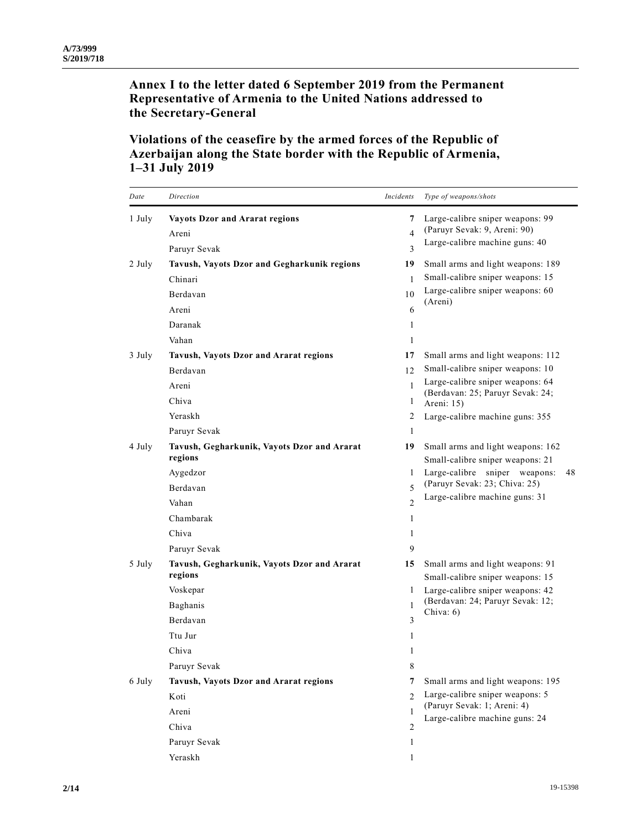**Annex I to the letter dated 6 September 2019 from the Permanent Representative of Armenia to the United Nations addressed to the Secretary-General**

# **Violations of the ceasefire by the armed forces of the Republic of Azerbaijan along the State border with the Republic of Armenia, 1–31 July 2019**

| Date   | Direction                                              | Incidents                | Type of weapons/shots                                                |
|--------|--------------------------------------------------------|--------------------------|----------------------------------------------------------------------|
| 1 July | <b>Vayots Dzor and Ararat regions</b>                  | 7                        | Large-calibre sniper weapons: 99                                     |
|        | Areni                                                  | $\overline{\mathbf{4}}$  | (Paruyr Sevak: 9, Areni: 90)                                         |
|        | Paruyr Sevak                                           | 3                        | Large-calibre machine guns: 40                                       |
| 2 July | Tavush, Vayots Dzor and Gegharkunik regions            | 19                       | Small arms and light weapons: 189                                    |
|        | Chinari                                                | 1                        | Small-calibre sniper weapons: 15                                     |
|        | Berdavan                                               | 10                       | Large-calibre sniper weapons: 60                                     |
|        | Areni                                                  | 6                        | (Areni)                                                              |
|        | Daranak                                                | 1                        |                                                                      |
|        | Vahan                                                  | 1                        |                                                                      |
| 3 July | Tavush, Vayots Dzor and Ararat regions                 | 17                       | Small arms and light weapons: 112                                    |
|        | Berdavan                                               | 12                       | Small-calibre sniper weapons: 10                                     |
|        | Areni                                                  | $\mathbf{1}$             | Large-calibre sniper weapons: 64                                     |
|        | Chiva                                                  | 1                        | (Berdavan: 25; Paruyr Sevak: 24;<br>Areni: 15)                       |
|        | Yeraskh                                                | 2                        | Large-calibre machine guns: 355                                      |
|        | Paruyr Sevak                                           | 1                        |                                                                      |
| 4 July | Tavush, Gegharkunik, Vayots Dzor and Ararat            | 19                       | Small arms and light weapons: 162                                    |
|        | regions                                                |                          | Small-calibre sniper weapons: 21                                     |
|        | Aygedzor                                               | 1                        | Large-calibre sniper weapons:<br>48<br>(Paruyr Sevak: 23; Chiva: 25) |
|        | Berdavan                                               | $\overline{\phantom{0}}$ | Large-calibre machine guns: 31                                       |
|        | Vahan                                                  | $\mathfrak{D}$           |                                                                      |
|        | Chambarak                                              | 1                        |                                                                      |
|        | Chiva                                                  | 1                        |                                                                      |
|        | Paruyr Sevak                                           | 9                        |                                                                      |
| 5 July | Tavush, Gegharkunik, Vayots Dzor and Ararat<br>regions | 15                       | Small arms and light weapons: 91                                     |
|        | Voskepar                                               | 1                        | Small-calibre sniper weapons: 15<br>Large-calibre sniper weapons: 42 |
|        | Baghanis                                               | 1                        | (Berdavan: 24; Paruyr Sevak: 12;                                     |
|        | Berdavan                                               | 3                        | Chiva: 6)                                                            |
|        | Ttu Jur                                                | 1                        |                                                                      |
|        | Chiva                                                  | 1                        |                                                                      |
|        | Paruyr Sevak                                           | 8                        |                                                                      |
| 6 July | Tavush, Vayots Dzor and Ararat regions                 | 7                        | Small arms and light weapons: 195                                    |
|        | Koti                                                   | $\mathfrak{D}$           | Large-calibre sniper weapons: 5                                      |
|        |                                                        | 1                        | (Paruyr Sevak: 1; Areni: 4)                                          |
|        | Areni<br>Chiva                                         |                          | Large-calibre machine guns: 24                                       |
|        |                                                        | 2                        |                                                                      |
|        | Paruyr Sevak                                           | 1                        |                                                                      |
|        | Yeraskh                                                | 1                        |                                                                      |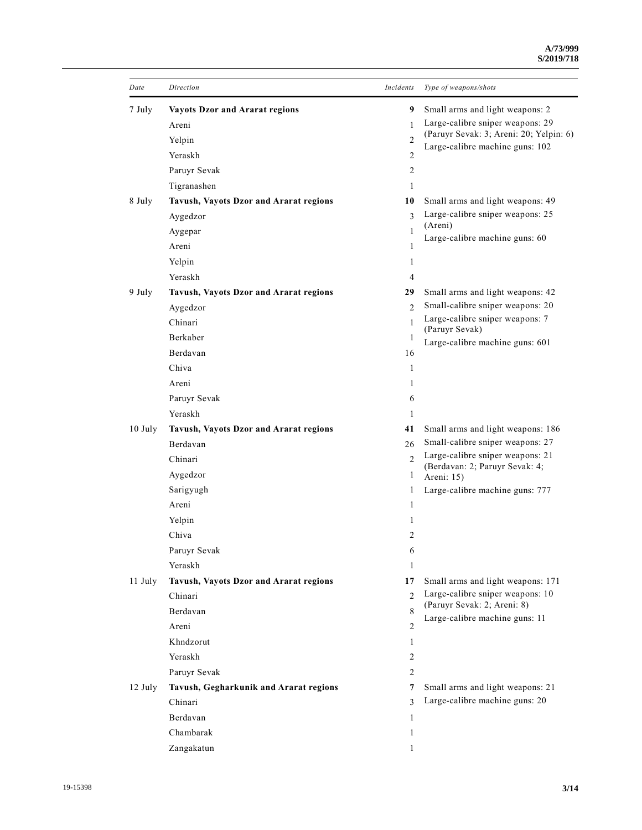| Date      | Direction                              | Incidents      | Type of weapons/shots                                                      |
|-----------|----------------------------------------|----------------|----------------------------------------------------------------------------|
| 7 July    | <b>Vayots Dzor and Ararat regions</b>  | 9              | Small arms and light weapons: 2                                            |
|           | Areni                                  | $\mathbf{1}$   | Large-calibre sniper weapons: 29                                           |
|           | Yelpin                                 | $\overline{c}$ | (Paruyr Sevak: 3; Areni: 20; Yelpin: 6)<br>Large-calibre machine guns: 102 |
|           | Yeraskh                                | 2              |                                                                            |
|           | Paruyr Sevak                           | 2              |                                                                            |
|           | Tigranashen                            | 1              |                                                                            |
| 8 July    | Tavush, Vayots Dzor and Ararat regions | 10             | Small arms and light weapons: 49                                           |
|           | Aygedzor                               | 3              | Large-calibre sniper weapons: 25                                           |
|           | Aygepar                                | 1              | (Areni)<br>Large-calibre machine guns: 60                                  |
|           | Areni                                  | 1              |                                                                            |
|           | Yelpin                                 | 1              |                                                                            |
|           | Yeraskh                                | 4              |                                                                            |
| 9 July    | Tavush, Vayots Dzor and Ararat regions | 29             | Small arms and light weapons: 42                                           |
|           | Aygedzor                               | $\mathfrak{D}$ | Small-calibre sniper weapons: 20                                           |
|           | Chinari                                | $\mathbf{1}$   | Large-calibre sniper weapons: 7<br>(Paruyr Sevak)                          |
|           | Berkaber                               | 1              | Large-calibre machine guns: 601                                            |
|           | Berdavan                               | 16             |                                                                            |
|           | Chiva                                  | 1              |                                                                            |
|           | Areni                                  | 1              |                                                                            |
|           | Paruyr Sevak                           | 6              |                                                                            |
|           | Yeraskh                                | 1              |                                                                            |
| $10$ July | Tavush, Vayots Dzor and Ararat regions | 41             | Small arms and light weapons: 186                                          |
|           | Berdavan                               | 26             | Small-calibre sniper weapons: 27                                           |
|           | Chinari                                | $\mathcal{L}$  | Large-calibre sniper weapons: 21<br>(Berdavan: 2; Paruyr Sevak: 4;         |
|           | Aygedzor                               | 1              | Areni: 15)                                                                 |
|           | Sarigyugh                              | 1              | Large-calibre machine guns: 777                                            |
|           | Areni                                  | 1              |                                                                            |
|           | Yelpin                                 | 1              |                                                                            |
|           | Chiva                                  | 2              |                                                                            |
|           | Paruyr Sevak                           | 6              |                                                                            |
|           | Yeraskh                                | 1              |                                                                            |
| 11 July   | Tavush, Vayots Dzor and Ararat regions | 17             | Small arms and light weapons: 171                                          |
|           | Chinari                                | $\mathfrak{D}$ | Large-calibre sniper weapons: 10<br>(Paruyr Sevak: 2; Areni: 8)            |
|           | Berdavan                               | 8              | Large-calibre machine guns: 11                                             |
|           | Areni                                  | 2              |                                                                            |
|           | Khndzorut                              | 1              |                                                                            |
|           | Yeraskh                                | $\overline{c}$ |                                                                            |
|           | Paruyr Sevak                           | $\overline{c}$ |                                                                            |
| $12$ July | Tavush, Gegharkunik and Ararat regions | 7              | Small arms and light weapons: 21                                           |
|           | Chinari                                | $\mathcal{E}$  | Large-calibre machine guns: 20                                             |
|           | Berdavan                               | 1              |                                                                            |
|           | Chambarak                              | 1              |                                                                            |
|           | Zangakatun                             | 1              |                                                                            |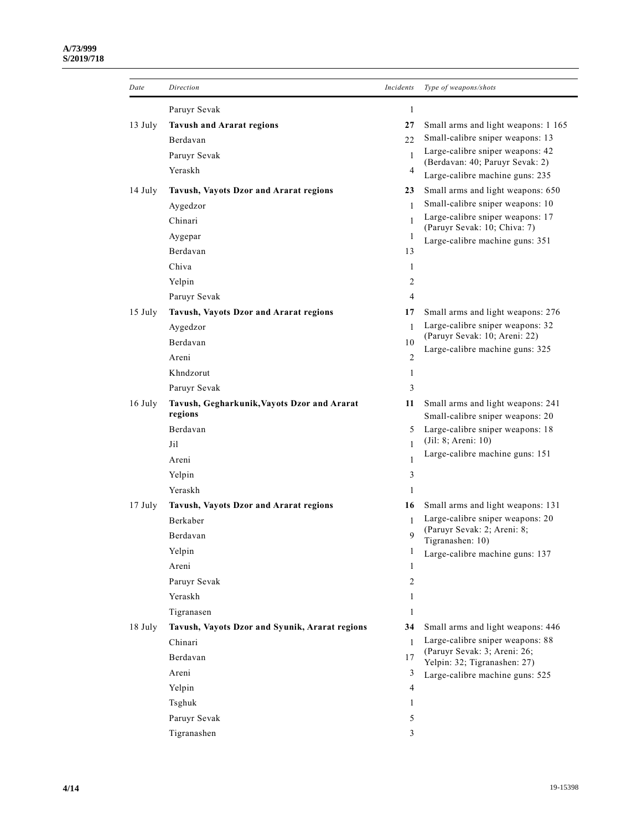| Date      | Direction                                              | Incidents    | Type of weapons/shots                                                 |
|-----------|--------------------------------------------------------|--------------|-----------------------------------------------------------------------|
|           | Paruyr Sevak                                           | 1            |                                                                       |
| 13 July   | <b>Tavush and Ararat regions</b>                       | 27           | Small arms and light weapons: 1 165                                   |
|           | Berdavan                                               | 22           | Small-calibre sniper weapons: 13                                      |
|           | Paruyr Sevak                                           | $\mathbf{1}$ | Large-calibre sniper weapons: 42                                      |
|           | Yeraskh                                                | 4            | (Berdavan: 40; Paruyr Sevak: 2)<br>Large-calibre machine guns: 235    |
| 14 July   | Tavush, Vayots Dzor and Ararat regions                 | 23           | Small arms and light weapons: 650                                     |
|           | Aygedzor                                               | 1            | Small-calibre sniper weapons: 10                                      |
|           | Chinari                                                | $\mathbf{1}$ | Large-calibre sniper weapons: 17                                      |
|           | Aygepar                                                | 1            | (Paruyr Sevak: 10; Chiva: 7)<br>Large-calibre machine guns: 351       |
|           | Berdavan                                               | 13           |                                                                       |
|           | Chiva                                                  | 1            |                                                                       |
|           | Yelpin                                                 | 2            |                                                                       |
|           | Paruyr Sevak                                           | 4            |                                                                       |
| $15$ July | Tavush, Vayots Dzor and Ararat regions                 | 17           | Small arms and light weapons: 276                                     |
|           | Aygedzor                                               | $\mathbf{1}$ | Large-calibre sniper weapons: 32                                      |
|           | Berdavan                                               | 10           | (Paruyr Sevak: 10; Areni: 22)                                         |
|           | Areni                                                  | 2            | Large-calibre machine guns: 325                                       |
|           | Khndzorut                                              | 1            |                                                                       |
|           | Paruyr Sevak                                           | 3            |                                                                       |
| 16 July   | Tavush, Gegharkunik, Vayots Dzor and Ararat<br>regions | 11           | Small arms and light weapons: 241<br>Small-calibre sniper weapons: 20 |
|           | Berdavan                                               | 5            | Large-calibre sniper weapons: 18                                      |
|           | Jil                                                    | $\mathbf{1}$ | (Jil: 8; Areni: 10)                                                   |
|           | Areni                                                  | 1            | Large-calibre machine guns: 151                                       |
|           | Yelpin                                                 | 3            |                                                                       |
|           | Yeraskh                                                | 1            |                                                                       |
| $17$ July | Tavush, Vayots Dzor and Ararat regions                 | 16           | Small arms and light weapons: 131                                     |
|           | Berkaber                                               | 1            | Large-calibre sniper weapons: 20                                      |
|           | Berdavan                                               | 9            | (Paruyr Sevak: 2; Areni: 8;<br>Tigranashen: 10)                       |
|           | Yelpin                                                 | 1            | Large-calibre machine guns: 137                                       |
|           | Areni                                                  | 1            |                                                                       |
|           | Paruyr Sevak                                           | 2            |                                                                       |
|           | Yeraskh                                                | 1            |                                                                       |
|           | Tigranasen                                             | 1            |                                                                       |
| 18 July   | Tavush, Vayots Dzor and Syunik, Ararat regions         | 34           | Small arms and light weapons: 446                                     |
|           | Chinari                                                | $\mathbf{1}$ | Large-calibre sniper weapons: 88                                      |
|           | Berdavan                                               | 17           | (Paruyr Sevak: 3; Areni: 26;<br>Yelpin: 32; Tigranashen: 27)          |
|           | Areni                                                  | 3            | Large-calibre machine guns: 525                                       |
|           | Yelpin                                                 | 4            |                                                                       |
|           | Tsghuk                                                 | 1            |                                                                       |
|           | Paruyr Sevak                                           | 5            |                                                                       |
|           | Tigranashen                                            | 3            |                                                                       |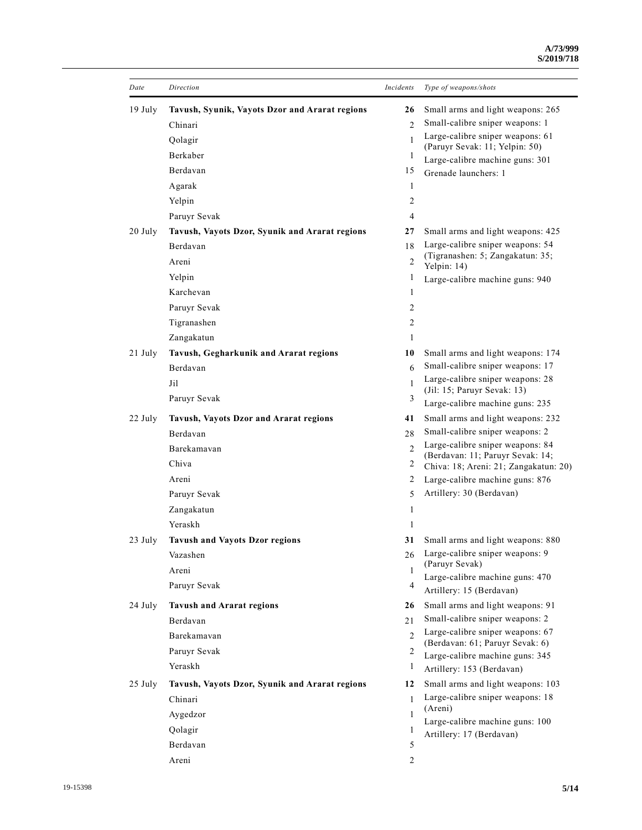| Date      | Direction                                      | Incidents      | Type of weapons/shots                                               |
|-----------|------------------------------------------------|----------------|---------------------------------------------------------------------|
| $19$ July | Tavush, Syunik, Vayots Dzor and Ararat regions | 26             | Small arms and light weapons: 265                                   |
|           | Chinari                                        | $\overline{c}$ | Small-calibre sniper weapons: 1                                     |
|           | Qolagir                                        | 1              | Large-calibre sniper weapons: 61                                    |
|           | Berkaber                                       | 1              | (Paruyr Sevak: 11; Yelpin: 50)<br>Large-calibre machine guns: 301   |
|           | Berdavan                                       | 15             | Grenade launchers: 1                                                |
|           | Agarak                                         | 1              |                                                                     |
|           | Yelpin                                         | 2              |                                                                     |
|           | Paruyr Sevak                                   | 4              |                                                                     |
| 20 July   | Tavush, Vayots Dzor, Syunik and Ararat regions | 27             | Small arms and light weapons: 425                                   |
|           | Berdavan                                       | 18             | Large-calibre sniper weapons: 54                                    |
|           | Areni                                          | 2              | (Tigranashen: 5; Zangakatun: 35;<br>Yelpin: 14)                     |
|           | Yelpin                                         | 1              | Large-calibre machine guns: 940                                     |
|           | Karchevan                                      | 1              |                                                                     |
|           | Paruyr Sevak                                   | 2              |                                                                     |
|           | Tigranashen                                    | 2              |                                                                     |
|           | Zangakatun                                     | 1              |                                                                     |
| 21 July   | Tavush, Gegharkunik and Ararat regions         | 10             | Small arms and light weapons: 174                                   |
|           | Berdavan                                       | 6              | Small-calibre sniper weapons: 17                                    |
|           | Jil                                            | $\mathbf{1}$   | Large-calibre sniper weapons: 28                                    |
|           | Paruyr Sevak                                   | 3              | (Jil: 15; Paruyr Sevak: 13)                                         |
|           |                                                |                | Large-calibre machine guns: 235                                     |
| 22 July   | Tavush, Vayots Dzor and Ararat regions         | 41             | Small arms and light weapons: 232                                   |
|           | Berdavan                                       | 28             | Small-calibre sniper weapons: 2<br>Large-calibre sniper weapons: 84 |
|           | Barekamavan                                    | $\mathfrak{D}$ | (Berdavan: 11; Paruyr Sevak: 14;                                    |
|           | Chiva                                          | 2              | Chiva: 18; Areni: 21; Zangakatun: 20)                               |
|           | Areni                                          | 2              | Large-calibre machine guns: 876                                     |
|           | Paruyr Sevak                                   | 5              | Artillery: 30 (Berdavan)                                            |
|           | Zangakatun                                     | 1              |                                                                     |
|           | Yeraskh                                        | 1              |                                                                     |
| 23 July   | <b>Tavush and Vayots Dzor regions</b>          | 31             | Small arms and light weapons: 880                                   |
|           | Vazashen                                       | 26             | Large-calibre sniper weapons: 9<br>(Paruyr Sevak)                   |
|           | Areni                                          | 1              | Large-calibre machine guns: 470                                     |
|           | Paruyr Sevak                                   | 4              | Artillery: 15 (Berdavan)                                            |
| 24 July   | <b>Tavush and Ararat regions</b>               | 26             | Small arms and light weapons: 91                                    |
|           | Berdavan                                       | 21             | Small-calibre sniper weapons: 2                                     |
|           | Barekamavan                                    | $\mathfrak{D}$ | Large-calibre sniper weapons: 67                                    |
|           | Paruyr Sevak                                   | 2              | (Berdavan: 61; Paruyr Sevak: 6)                                     |
|           | Yeraskh                                        | 1              | Large-calibre machine guns: 345<br>Artillery: 153 (Berdavan)        |
| 25 July   | Tavush, Vayots Dzor, Syunik and Ararat regions | 12             | Small arms and light weapons: 103                                   |
|           | Chinari                                        | 1              | Large-calibre sniper weapons: 18                                    |
|           | Aygedzor                                       | 1              | (Areni)                                                             |
|           | Qolagir                                        | 1              | Large-calibre machine guns: 100                                     |
|           | Berdavan                                       | 5              | Artillery: 17 (Berdavan)                                            |
|           | Areni                                          | 2              |                                                                     |
|           |                                                |                |                                                                     |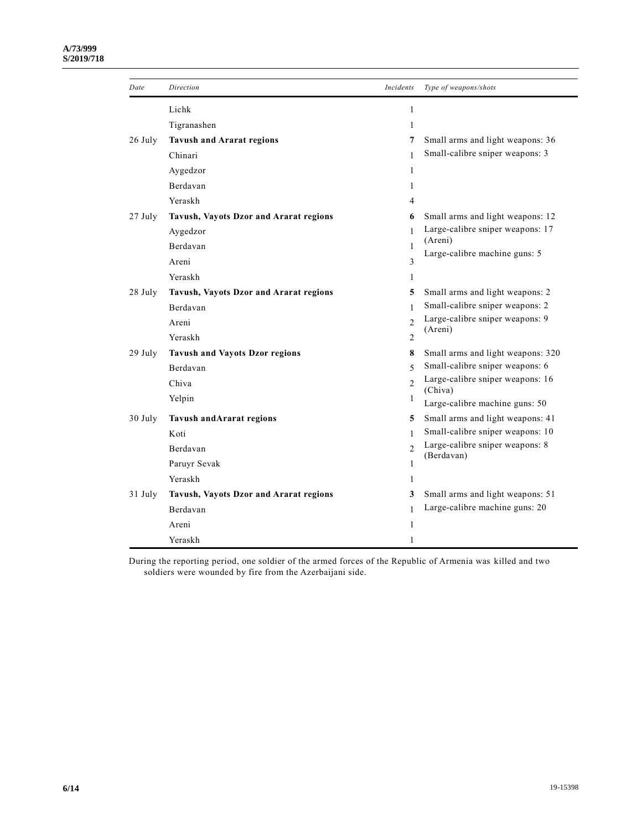#### **A/73/999 S/2019/718**

| Date    | Direction                              | Incidents      | Type of weapons/shots                       |
|---------|----------------------------------------|----------------|---------------------------------------------|
|         | Lichk                                  | $\mathbf{1}$   |                                             |
|         | Tigranashen                            | 1              |                                             |
| 26 July | <b>Tavush and Ararat regions</b>       | 7              | Small arms and light weapons: 36            |
|         | Chinari                                | $\mathbf{1}$   | Small-calibre sniper weapons: 3             |
|         | Aygedzor                               | 1              |                                             |
|         | Berdavan                               | 1              |                                             |
|         | Yeraskh                                | 4              |                                             |
| 27 July | Tavush, Vayots Dzor and Ararat regions | 6              | Small arms and light weapons: 12            |
|         | Aygedzor                               | $\mathbf{1}$   | Large-calibre sniper weapons: 17            |
|         | Berdavan                               | 1              | (Areni)<br>Large-calibre machine guns: 5    |
|         | Areni                                  | 3              |                                             |
|         | Yeraskh                                | 1              |                                             |
| 28 July | Tavush, Vayots Dzor and Ararat regions | 5              | Small arms and light weapons: 2             |
|         | Berdavan                               | $\mathbf{1}$   | Small-calibre sniper weapons: 2             |
|         | Areni                                  | $\mathfrak{D}$ | Large-calibre sniper weapons: 9             |
|         | Yeraskh                                | 2              | (Areni)                                     |
| 29 July | <b>Tavush and Vayots Dzor regions</b>  | 8              | Small arms and light weapons: 320           |
|         | Berdavan                               | $\overline{5}$ | Small-calibre sniper weapons: 6             |
|         | Chiva                                  | $\mathfrak{D}$ | Large-calibre sniper weapons: 16<br>(Chiva) |
|         | Yelpin                                 | 1              | Large-calibre machine guns: 50              |
| 30 July | <b>Tavush and Ararat regions</b>       | 5              | Small arms and light weapons: 41            |
|         | Koti                                   | $\mathbf{1}$   | Small-calibre sniper weapons: 10            |
|         | Berdavan                               | $\mathfrak{D}$ | Large-calibre sniper weapons: 8             |
|         | Paruyr Sevak                           | 1              | (Berdavan)                                  |
|         | Yeraskh                                | 1              |                                             |
| 31 July | Tavush, Vayots Dzor and Ararat regions | 3              | Small arms and light weapons: 51            |
|         | Berdavan                               | $\mathbf{1}$   | Large-calibre machine guns: 20              |
|         | Areni                                  | 1              |                                             |
|         | Yeraskh                                | $\mathbf{1}$   |                                             |

During the reporting period, one soldier of the armed forces of the Republic of Armenia was killed and two soldiers were wounded by fire from the Azerbaijani side.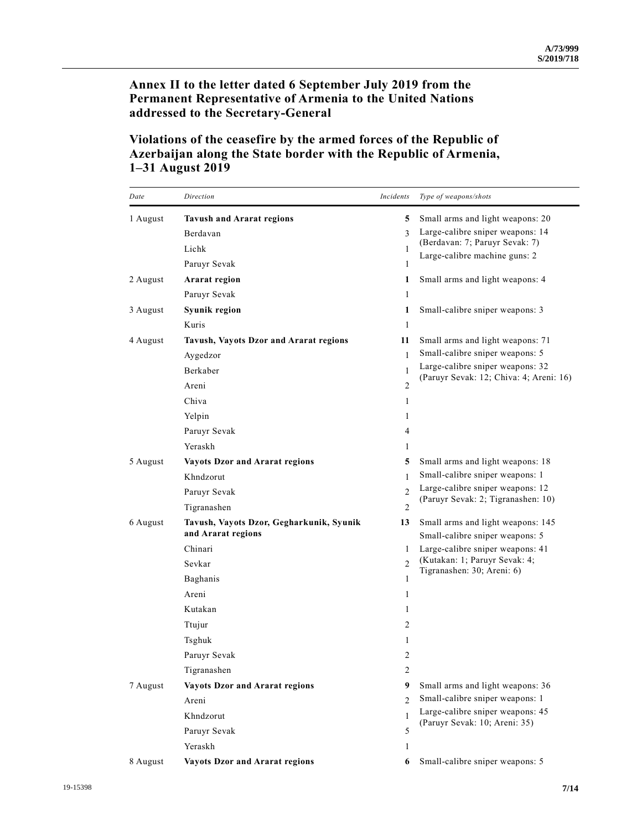**Annex II to the letter dated 6 September July 2019 from the Permanent Representative of Armenia to the United Nations addressed to the Secretary-General**

# **Violations of the ceasefire by the armed forces of the Republic of Azerbaijan along the State border with the Republic of Armenia, 1–31 August 2019**

| Date     | Direction                                                      | Incidents      | Type of weapons/shots                                                |
|----------|----------------------------------------------------------------|----------------|----------------------------------------------------------------------|
| 1 August | <b>Tavush and Ararat regions</b>                               | 5.             | Small arms and light weapons: 20                                     |
|          | Berdavan                                                       | 3              | Large-calibre sniper weapons: 14                                     |
|          | Lichk                                                          | 1              | (Berdavan: 7; Paruyr Sevak: 7)                                       |
|          | Paruyr Sevak                                                   | 1              | Large-calibre machine guns: 2                                        |
| 2 August | Ararat region                                                  | 1              | Small arms and light weapons: 4                                      |
|          | Paruyr Sevak                                                   | $\mathbf{1}$   |                                                                      |
| 3 August | Syunik region                                                  | 1              | Small-calibre sniper weapons: 3                                      |
|          | Kuris                                                          | 1              |                                                                      |
| 4 August | Tavush, Vayots Dzor and Ararat regions                         | 11             | Small arms and light weapons: 71                                     |
|          | Aygedzor                                                       | $\mathbf{1}$   | Small-calibre sniper weapons: 5                                      |
|          | Berkaber                                                       | 1              | Large-calibre sniper weapons: 32                                     |
|          | Areni                                                          | 2              | (Paruyr Sevak: 12; Chiva: 4; Areni: 16)                              |
|          | Chiva                                                          | 1              |                                                                      |
|          | Yelpin                                                         | 1              |                                                                      |
|          | Paruyr Sevak                                                   | 4              |                                                                      |
|          | Yeraskh                                                        | 1              |                                                                      |
| 5 August | <b>Vayots Dzor and Ararat regions</b>                          | 5              | Small arms and light weapons: 18                                     |
|          | Khndzorut                                                      | 1              | Small-calibre sniper weapons: 1                                      |
|          | Paruyr Sevak                                                   | $\mathfrak{D}$ | Large-calibre sniper weapons: 12                                     |
|          | Tigranashen                                                    | 2              | (Paruyr Sevak: 2; Tigranashen: 10)                                   |
| 6 August | Tavush, Vayots Dzor, Gegharkunik, Syunik<br>and Ararat regions | 13             | Small arms and light weapons: 145<br>Small-calibre sniper weapons: 5 |
|          | Chinari                                                        | 1              | Large-calibre sniper weapons: 41                                     |
|          | Sevkar                                                         | $\mathfrak{D}$ | (Kutakan: 1; Paruyr Sevak: 4;                                        |
|          | Baghanis                                                       | 1              | Tigranashen: 30; Areni: 6)                                           |
|          | Areni                                                          | 1              |                                                                      |
|          | Kutakan                                                        | 1              |                                                                      |
|          | Ttujur                                                         | 2              |                                                                      |
|          | Tsghuk                                                         | 1              |                                                                      |
|          | Paruyr Sevak                                                   | 2              |                                                                      |
|          | Tigranashen                                                    | 2              |                                                                      |
| 7 August | <b>Vayots Dzor and Ararat regions</b>                          | 9              | Small arms and light weapons: 36                                     |
|          | Areni                                                          | $\overline{c}$ | Small-calibre sniper weapons: 1                                      |
|          | Khndzorut                                                      | $\mathbf{1}$   | Large-calibre sniper weapons: 45                                     |
|          | Paruyr Sevak                                                   | 5              | (Paruyr Sevak: 10; Areni: 35)                                        |
|          | Yeraskh                                                        | 1              |                                                                      |
| 8 August | <b>Vayots Dzor and Ararat regions</b>                          | 6              | Small-calibre sniper weapons: 5                                      |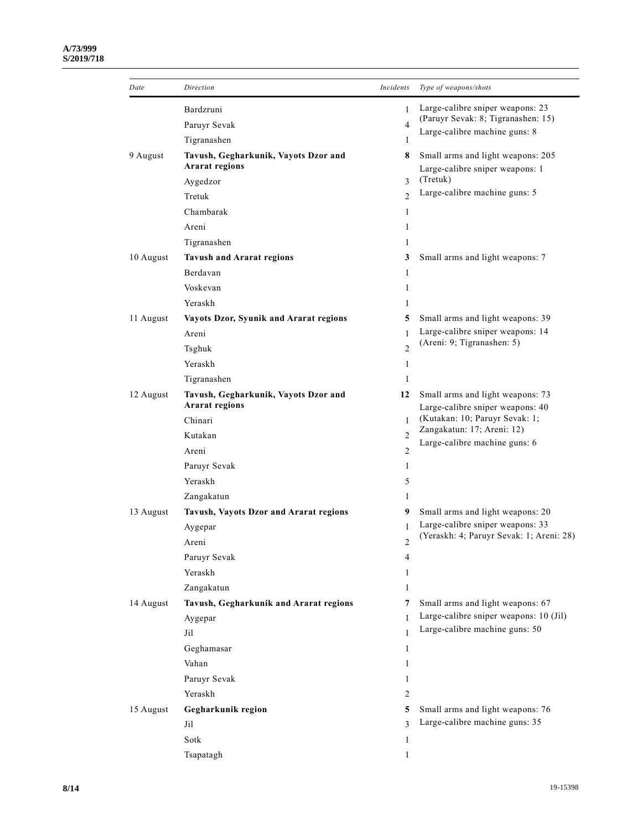| Date      | Direction                                                     | Incidents      | Type of weapons/shots                                                |
|-----------|---------------------------------------------------------------|----------------|----------------------------------------------------------------------|
|           | Bardzruni                                                     | 1              | Large-calibre sniper weapons: 23                                     |
|           | Paruyr Sevak                                                  | $\overline{4}$ | (Paruyr Sevak: 8; Tigranashen: 15)                                   |
|           | Tigranashen                                                   | 1              | Large-calibre machine guns: 8                                        |
| 9 August  | Tavush, Gegharkunik, Vayots Dzor and<br><b>Ararat regions</b> | 8              | Small arms and light weapons: 205                                    |
|           | Aygedzor                                                      | 3              | Large-calibre sniper weapons: 1<br>(Tretuk)                          |
|           | Tretuk                                                        | $\mathfrak{D}$ | Large-calibre machine guns: 5                                        |
|           | Chambarak                                                     | 1              |                                                                      |
|           | Areni                                                         | 1              |                                                                      |
|           | Tigranashen                                                   | 1              |                                                                      |
| 10 August | <b>Tavush and Ararat regions</b>                              | 3              | Small arms and light weapons: 7                                      |
|           | Berdavan                                                      | 1              |                                                                      |
|           | Voskevan                                                      | 1              |                                                                      |
|           | Yeraskh                                                       | 1              |                                                                      |
| 11 August | Vayots Dzor, Syunik and Ararat regions                        | 5              | Small arms and light weapons: 39                                     |
|           | Areni                                                         | 1              | Large-calibre sniper weapons: 14                                     |
|           | Tsghuk                                                        | $\mathfrak{D}$ | (Areni: 9; Tigranashen: 5)                                           |
|           | Yeraskh                                                       | 1              |                                                                      |
|           | Tigranashen                                                   | 1              |                                                                      |
| 12 August |                                                               | 12             |                                                                      |
|           | Tavush, Gegharkunik, Vayots Dzor and<br><b>Ararat regions</b> |                | Small arms and light weapons: 73<br>Large-calibre sniper weapons: 40 |
|           | Chinari                                                       | 1              | (Kutakan: 10; Paruyr Sevak: 1;                                       |
|           | Kutakan                                                       | $\overline{c}$ | Zangakatun: 17; Areni: 12)                                           |
|           | Areni                                                         | $\overline{2}$ | Large-calibre machine guns: 6                                        |
|           | Paruyr Sevak                                                  | 1              |                                                                      |
|           | Yeraskh                                                       | 5              |                                                                      |
|           | Zangakatun                                                    | 1              |                                                                      |
| 13 August | Tavush, Vayots Dzor and Ararat regions                        | 9              | Small arms and light weapons: 20                                     |
|           | Aygepar                                                       | 1              | Large-calibre sniper weapons: 33                                     |
|           | Areni                                                         | $\overline{2}$ | (Yeraskh: 4; Paruyr Sevak: 1; Areni: 28)                             |
|           | Paruyr Sevak                                                  | 4              |                                                                      |
|           | Yeraskh                                                       | 1              |                                                                      |
|           | Zangakatun                                                    | 1              |                                                                      |
| 14 August | Tavush, Gegharkunik and Ararat regions                        | 7              | Small arms and light weapons: 67                                     |
|           | Aygepar                                                       | 1              | Large-calibre sniper weapons: 10 (Jil)                               |
|           | Jil                                                           | 1              | Large-calibre machine guns: 50                                       |
|           | Geghamasar                                                    | 1              |                                                                      |
|           | Vahan                                                         | 1              |                                                                      |
|           | Paruyr Sevak                                                  | 1              |                                                                      |
|           | Yeraskh                                                       | 2              |                                                                      |
| 15 August | Gegharkunik region                                            | 5              | Small arms and light weapons: 76                                     |
|           | Jil                                                           | 3              | Large-calibre machine guns: 35                                       |
|           | Sotk                                                          | 1              |                                                                      |
|           | Tsapatagh                                                     | 1              |                                                                      |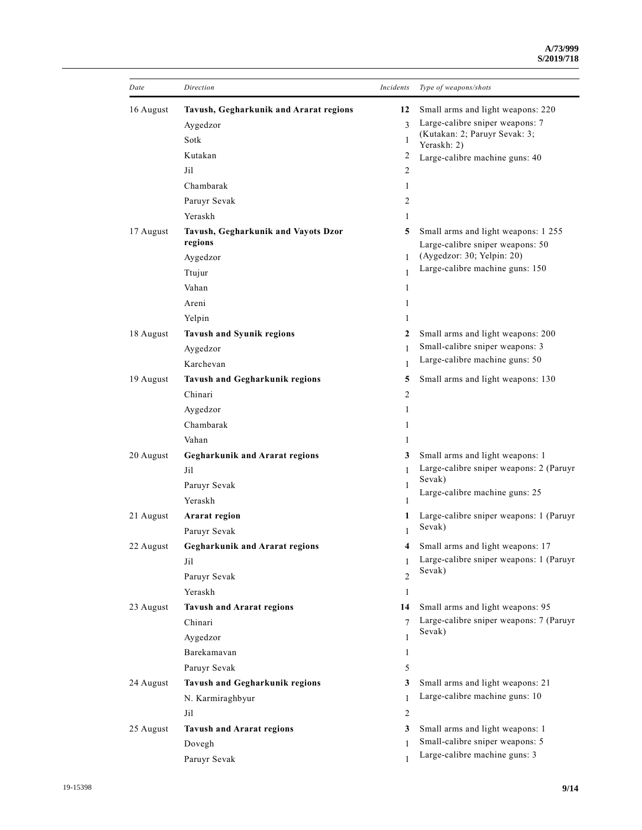| Date      | Direction                                      | Incidents      | Type of weapons/shots                                                   |
|-----------|------------------------------------------------|----------------|-------------------------------------------------------------------------|
| 16 August | Tavush, Gegharkunik and Ararat regions         | 12             | Small arms and light weapons: 220                                       |
|           | Aygedzor                                       | $\mathbf{3}$   | Large-calibre sniper weapons: 7                                         |
|           | Sotk                                           | 1              | (Kutakan: 2; Paruyr Sevak: 3;<br>Yeraskh: 2)                            |
|           | Kutakan                                        | 2              | Large-calibre machine guns: 40                                          |
|           | Jil                                            | 2              |                                                                         |
|           | Chambarak                                      | 1              |                                                                         |
|           | Paruyr Sevak                                   | 2              |                                                                         |
|           | Yeraskh                                        | 1              |                                                                         |
| 17 August | Tavush, Gegharkunik and Vayots Dzor<br>regions | 5              | Small arms and light weapons: 1 255<br>Large-calibre sniper weapons: 50 |
|           | Aygedzor                                       | 1              | (Aygedzor: 30; Yelpin: 20)                                              |
|           | Ttujur                                         | 1              | Large-calibre machine guns: 150                                         |
|           | Vahan                                          | 1              |                                                                         |
|           | Areni                                          | 1              |                                                                         |
|           | Yelpin                                         | 1              |                                                                         |
| 18 August | <b>Tavush and Syunik regions</b>               | 2              | Small arms and light weapons: 200                                       |
|           | Aygedzor                                       | 1              | Small-calibre sniper weapons: 3                                         |
|           | Karchevan                                      | 1              | Large-calibre machine guns: 50                                          |
| 19 August | <b>Tavush and Gegharkunik regions</b>          | 5              | Small arms and light weapons: 130                                       |
|           | Chinari                                        | 2              |                                                                         |
|           | Aygedzor                                       | 1              |                                                                         |
|           | Chambarak                                      | 1              |                                                                         |
|           | Vahan                                          | 1              |                                                                         |
| 20 August | <b>Gegharkunik and Ararat regions</b>          | 3              | Small arms and light weapons: 1                                         |
|           | Jil                                            | 1              | Large-calibre sniper weapons: 2 (Paruyr                                 |
|           | Paruyr Sevak                                   | 1              | Sevak)                                                                  |
|           | Yeraskh                                        | 1              | Large-calibre machine guns: 25                                          |
| 21 August | Ararat region                                  | 1              | Large-calibre sniper weapons: 1 (Paruyr                                 |
|           | Paruyr Sevak                                   | 1              | Sevak)                                                                  |
| 22 August | <b>Gegharkunik and Ararat regions</b>          |                | Small arms and light weapons: 17                                        |
|           | Jil                                            | 1              | Large-calibre sniper weapons: 1 (Paruyr                                 |
|           | Paruyr Sevak                                   | $\overline{c}$ | Sevak)                                                                  |
|           | Yeraskh                                        | $\mathbf{1}$   |                                                                         |
| 23 August | <b>Tavush and Ararat regions</b>               | 14             | Small arms and light weapons: 95                                        |
|           | Chinari                                        | $\overline{7}$ | Large-calibre sniper weapons: 7 (Paruyr                                 |
|           | Aygedzor                                       | 1              | Sevak)                                                                  |
|           | Barekamavan                                    | 1              |                                                                         |
|           | Paruyr Sevak                                   | 5              |                                                                         |
| 24 August | Tavush and Gegharkunik regions                 | 3              | Small arms and light weapons: 21                                        |
|           | N. Karmiraghbyur                               | 1              | Large-calibre machine guns: 10                                          |
|           | Jil                                            | 2              |                                                                         |
| 25 August | <b>Tavush and Ararat regions</b>               | 3              | Small arms and light weapons: 1                                         |
|           | Dovegh                                         | 1              | Small-calibre sniper weapons: 5                                         |
|           | Paruyr Sevak                                   |                | Large-calibre machine guns: 3                                           |
|           |                                                |                |                                                                         |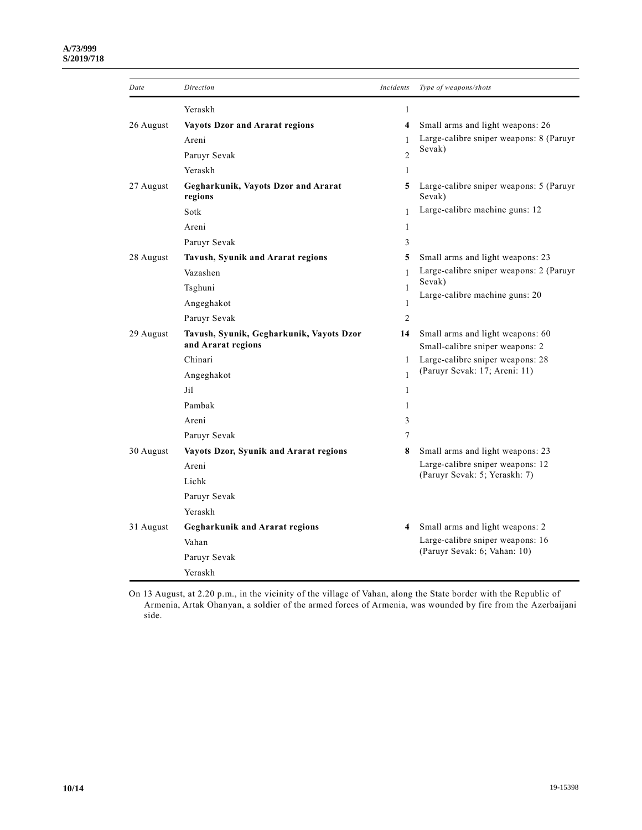#### **A/73/999 S/2019/718**

| Date      | Direction                                      | Incidents               | Type of weapons/shots                                             |
|-----------|------------------------------------------------|-------------------------|-------------------------------------------------------------------|
|           | Yeraskh                                        | $\mathbf{1}$            |                                                                   |
| 26 August | <b>Vayots Dzor and Ararat regions</b>          | $\overline{\mathbf{4}}$ | Small arms and light weapons: 26                                  |
|           | Areni                                          | 1                       | Large-calibre sniper weapons: 8 (Paruyr                           |
|           | Paruyr Sevak                                   | $\overline{c}$          | Sevak)                                                            |
|           | Yeraskh                                        | 1                       |                                                                   |
| 27 August | Gegharkunik, Vayots Dzor and Ararat<br>regions | 5                       | Large-calibre sniper weapons: 5 (Paruyr<br>Sevak)                 |
|           | Sotk                                           | $\mathbf{1}$            | Large-calibre machine guns: 12                                    |
|           | Areni                                          | 1                       |                                                                   |
|           | Paruyr Sevak                                   | 3                       |                                                                   |
| 28 August | Tavush, Syunik and Ararat regions              | 5                       | Small arms and light weapons: 23                                  |
|           | Vazashen                                       | $\mathbf{1}$            | Large-calibre sniper weapons: 2 (Paruyr                           |
|           | Tsghuni                                        | 1                       | Sevak)                                                            |
|           | Angeghakot                                     | 1                       | Large-calibre machine guns: 20                                    |
|           | Paruyr Sevak                                   | 2                       |                                                                   |
| 29 August | Tavush, Syunik, Gegharkunik, Vayots Dzor       | 14                      | Small arms and light weapons: 60                                  |
|           | and Ararat regions                             |                         | Small-calibre sniper weapons: 2                                   |
|           | Chinari                                        | 1                       | Large-calibre sniper weapons: 28<br>(Paruyr Sevak: 17; Areni: 11) |
|           | Angeghakot                                     | $\mathbf{1}$            |                                                                   |
|           | Jil                                            | 1                       |                                                                   |
|           | Pambak                                         | 1                       |                                                                   |
|           | Areni                                          | 3                       |                                                                   |
|           | Paruyr Sevak                                   | 7                       |                                                                   |
| 30 August | Vayots Dzor, Syunik and Ararat regions         | 8                       | Small arms and light weapons: 23                                  |
|           | Areni                                          |                         | Large-calibre sniper weapons: 12<br>(Paruyr Sevak: 5; Yeraskh: 7) |
|           | Lichk                                          |                         |                                                                   |
|           | Paruyr Sevak                                   |                         |                                                                   |
|           | Yeraskh                                        |                         |                                                                   |
| 31 August | <b>Gegharkunik and Ararat regions</b>          | 4                       | Small arms and light weapons: 2                                   |
|           | Vahan                                          |                         | Large-calibre sniper weapons: 16<br>(Paruyr Sevak: 6; Vahan: 10)  |
|           | Paruyr Sevak                                   |                         |                                                                   |
|           | Yeraskh                                        |                         |                                                                   |

On 13 August, at 2.20 p.m., in the vicinity of the village of Vahan, along the State border with the Republic of Armenia, Artak Ohanyan, a soldier of the armed forces of Armenia, was wounded by fire from the Azerbaijani side.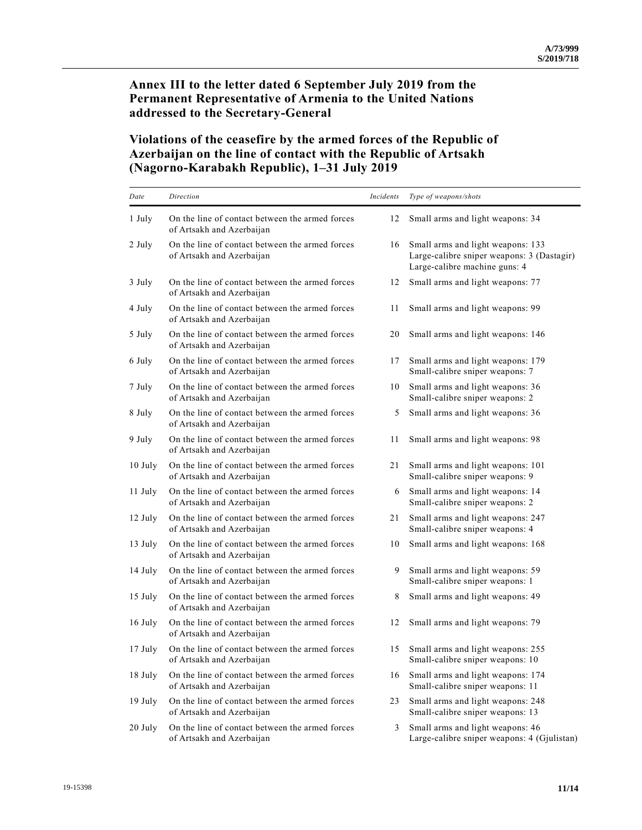## **Annex III to the letter dated 6 September July 2019 from the Permanent Representative of Armenia to the United Nations addressed to the Secretary-General**

# **Violations of the ceasefire by the armed forces of the Republic of Azerbaijan on the line of contact with the Republic of Artsakh (Nagorno-Karabakh Republic), 1–31 July 2019**

| Date    | Direction                                                                    | Incidents | Type of weapons/shots                                                                                            |
|---------|------------------------------------------------------------------------------|-----------|------------------------------------------------------------------------------------------------------------------|
| 1 July  | On the line of contact between the armed forces<br>of Artsakh and Azerbaijan | 12        | Small arms and light weapons: 34                                                                                 |
| 2 July  | On the line of contact between the armed forces<br>of Artsakh and Azerbaijan | 16        | Small arms and light weapons: 133<br>Large-calibre sniper weapons: 3 (Dastagir)<br>Large-calibre machine guns: 4 |
| 3 July  | On the line of contact between the armed forces<br>of Artsakh and Azerbaijan | 12        | Small arms and light weapons: 77                                                                                 |
| 4 July  | On the line of contact between the armed forces<br>of Artsakh and Azerbaijan | 11        | Small arms and light weapons: 99                                                                                 |
| 5 July  | On the line of contact between the armed forces<br>of Artsakh and Azerbaijan | 20        | Small arms and light weapons: 146                                                                                |
| 6 July  | On the line of contact between the armed forces<br>of Artsakh and Azerbaijan | 17        | Small arms and light weapons: 179<br>Small-calibre sniper weapons: 7                                             |
| 7 July  | On the line of contact between the armed forces<br>of Artsakh and Azerbaijan | 10        | Small arms and light weapons: 36<br>Small-calibre sniper weapons: 2                                              |
| 8 July  | On the line of contact between the armed forces<br>of Artsakh and Azerbaijan | 5         | Small arms and light weapons: 36                                                                                 |
| 9 July  | On the line of contact between the armed forces<br>of Artsakh and Azerbaijan | 11        | Small arms and light weapons: 98                                                                                 |
| 10 July | On the line of contact between the armed forces<br>of Artsakh and Azerbaijan | 21        | Small arms and light weapons: 101<br>Small-calibre sniper weapons: 9                                             |
| 11 July | On the line of contact between the armed forces<br>of Artsakh and Azerbaijan | 6         | Small arms and light weapons: 14<br>Small-calibre sniper weapons: 2                                              |
| 12 July | On the line of contact between the armed forces<br>of Artsakh and Azerbaijan | 21        | Small arms and light weapons: 247<br>Small-calibre sniper weapons: 4                                             |
| 13 July | On the line of contact between the armed forces<br>of Artsakh and Azerbaijan | 10        | Small arms and light weapons: 168                                                                                |
| 14 July | On the line of contact between the armed forces<br>of Artsakh and Azerbaijan | 9         | Small arms and light weapons: 59<br>Small-calibre sniper weapons: 1                                              |
| 15 July | On the line of contact between the armed forces<br>of Artsakh and Azerbaijan | 8         | Small arms and light weapons: 49                                                                                 |
| 16 July | On the line of contact between the armed forces<br>of Artsakh and Azerbaijan | 12        | Small arms and light weapons: 79                                                                                 |
| 17 July | On the line of contact between the armed forces<br>of Artsakh and Azerbaijan | 15        | Small arms and light weapons: 255<br>Small-calibre sniper weapons: 10                                            |
| 18 July | On the line of contact between the armed forces<br>of Artsakh and Azerbaijan | 16        | Small arms and light weapons: 174<br>Small-calibre sniper weapons: 11                                            |
| 19 July | On the line of contact between the armed forces<br>of Artsakh and Azerbaijan | 23        | Small arms and light weapons: 248<br>Small-calibre sniper weapons: 13                                            |
| 20 July | On the line of contact between the armed forces<br>of Artsakh and Azerbaijan | 3         | Small arms and light weapons: 46<br>Large-calibre sniper weapons: 4 (Gjulistan)                                  |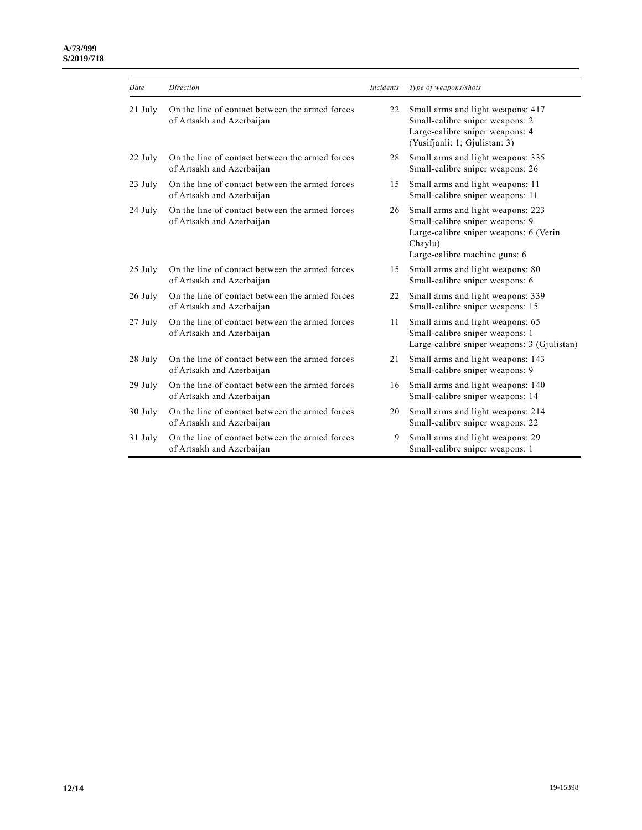#### **A/73/999 S/2019/718**

| Date      | Direction                                                                    | Incidents | Type of weapons/shots                                                                                                                                      |
|-----------|------------------------------------------------------------------------------|-----------|------------------------------------------------------------------------------------------------------------------------------------------------------------|
| $21$ July | On the line of contact between the armed forces<br>of Artsakh and Azerbaijan | 22        | Small arms and light weapons: 417<br>Small-calibre sniper weapons: 2<br>Large-calibre sniper weapons: 4<br>(Yusifjanli: 1; Gjulistan: 3)                   |
| 22 July   | On the line of contact between the armed forces<br>of Artsakh and Azerbaijan | 28        | Small arms and light weapons: 335<br>Small-calibre sniper weapons: 26                                                                                      |
| 23 July   | On the line of contact between the armed forces<br>of Artsakh and Azerbaijan | 15        | Small arms and light weapons: 11<br>Small-calibre sniper weapons: 11                                                                                       |
| 24 July   | On the line of contact between the armed forces<br>of Artsakh and Azerbaijan | 26        | Small arms and light weapons: 223<br>Small-calibre sniper weapons: 9<br>Large-calibre sniper weapons: 6 (Verin<br>Chaylu)<br>Large-calibre machine guns: 6 |
| $25$ July | On the line of contact between the armed forces<br>of Artsakh and Azerbaijan | 15        | Small arms and light weapons: 80<br>Small-calibre sniper weapons: 6                                                                                        |
| 26 July   | On the line of contact between the armed forces<br>of Artsakh and Azerbaijan | 22        | Small arms and light weapons: 339<br>Small-calibre sniper weapons: 15                                                                                      |
| 27 July   | On the line of contact between the armed forces<br>of Artsakh and Azerbaijan | 11        | Small arms and light weapons: 65<br>Small-calibre sniper weapons: 1<br>Large-calibre sniper weapons: 3 (Gjulistan)                                         |
| 28 July   | On the line of contact between the armed forces<br>of Artsakh and Azerbaijan | 21        | Small arms and light weapons: 143<br>Small-calibre sniper weapons: 9                                                                                       |
| $29$ July | On the line of contact between the armed forces<br>of Artsakh and Azerbaijan | 16        | Small arms and light weapons: 140<br>Small-calibre sniper weapons: 14                                                                                      |
| 30 July   | On the line of contact between the armed forces<br>of Artsakh and Azerbaijan | 20        | Small arms and light weapons: 214<br>Small-calibre sniper weapons: 22                                                                                      |
| 31 July   | On the line of contact between the armed forces<br>of Artsakh and Azerbaijan | 9         | Small arms and light weapons: 29<br>Small-calibre sniper weapons: 1                                                                                        |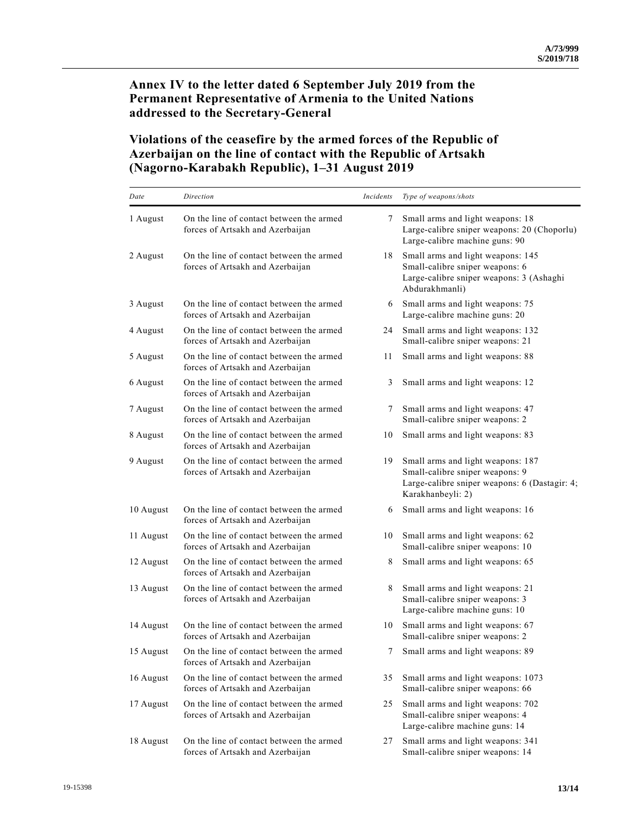## **Annex IV to the letter dated 6 September July 2019 from the Permanent Representative of Armenia to the United Nations addressed to the Secretary-General**

# **Violations of the ceasefire by the armed forces of the Republic of Azerbaijan on the line of contact with the Republic of Artsakh (Nagorno-Karabakh Republic), 1–31 August 2019**

| Date      | Direction                                                                    | Incidents | Type of weapons/shots                                                                                                                      |
|-----------|------------------------------------------------------------------------------|-----------|--------------------------------------------------------------------------------------------------------------------------------------------|
| 1 August  | On the line of contact between the armed<br>forces of Artsakh and Azerbaijan | 7         | Small arms and light weapons: 18<br>Large-calibre sniper weapons: 20 (Choporlu)<br>Large-calibre machine guns: 90                          |
| 2 August  | On the line of contact between the armed<br>forces of Artsakh and Azerbaijan | 18        | Small arms and light weapons: 145<br>Small-calibre sniper weapons: 6<br>Large-calibre sniper weapons: 3 (Ashaghi<br>Abdurakhmanli)         |
| 3 August  | On the line of contact between the armed<br>forces of Artsakh and Azerbaijan | 6         | Small arms and light weapons: 75<br>Large-calibre machine guns: 20                                                                         |
| 4 August  | On the line of contact between the armed<br>forces of Artsakh and Azerbaijan | 24        | Small arms and light weapons: 132<br>Small-calibre sniper weapons: 21                                                                      |
| 5 August  | On the line of contact between the armed<br>forces of Artsakh and Azerbaijan | 11        | Small arms and light weapons: 88                                                                                                           |
| 6 August  | On the line of contact between the armed<br>forces of Artsakh and Azerbaijan | 3         | Small arms and light weapons: 12                                                                                                           |
| 7 August  | On the line of contact between the armed<br>forces of Artsakh and Azerbaijan | 7         | Small arms and light weapons: 47<br>Small-calibre sniper weapons: 2                                                                        |
| 8 August  | On the line of contact between the armed<br>forces of Artsakh and Azerbaijan | 10        | Small arms and light weapons: 83                                                                                                           |
| 9 August  | On the line of contact between the armed<br>forces of Artsakh and Azerbaijan | 19        | Small arms and light weapons: 187<br>Small-calibre sniper weapons: 9<br>Large-calibre sniper weapons: 6 (Dastagir: 4;<br>Karakhanbeyli: 2) |
| 10 August | On the line of contact between the armed<br>forces of Artsakh and Azerbaijan | 6         | Small arms and light weapons: 16                                                                                                           |
| 11 August | On the line of contact between the armed<br>forces of Artsakh and Azerbaijan | 10        | Small arms and light weapons: 62<br>Small-calibre sniper weapons: 10                                                                       |
| 12 August | On the line of contact between the armed<br>forces of Artsakh and Azerbaijan | 8         | Small arms and light weapons: 65                                                                                                           |
| 13 August | On the line of contact between the armed<br>forces of Artsakh and Azerbaijan | 8         | Small arms and light weapons: 21<br>Small-calibre sniper weapons: 3<br>Large-calibre machine guns: 10                                      |
| 14 August | On the line of contact between the armed<br>forces of Artsakh and Azerbaijan | 10        | Small arms and light weapons: 67<br>Small-calibre sniper weapons: 2                                                                        |
| 15 August | On the line of contact between the armed<br>forces of Artsakh and Azerbaijan | 7         | Small arms and light weapons: 89                                                                                                           |
| 16 August | On the line of contact between the armed<br>forces of Artsakh and Azerbaijan | 35        | Small arms and light weapons: 1073<br>Small-calibre sniper weapons: 66                                                                     |
| 17 August | On the line of contact between the armed<br>forces of Artsakh and Azerbaijan | 25        | Small arms and light weapons: 702<br>Small-calibre sniper weapons: 4<br>Large-calibre machine guns: 14                                     |
| 18 August | On the line of contact between the armed<br>forces of Artsakh and Azerbaijan | 27        | Small arms and light weapons: 341<br>Small-calibre sniper weapons: 14                                                                      |